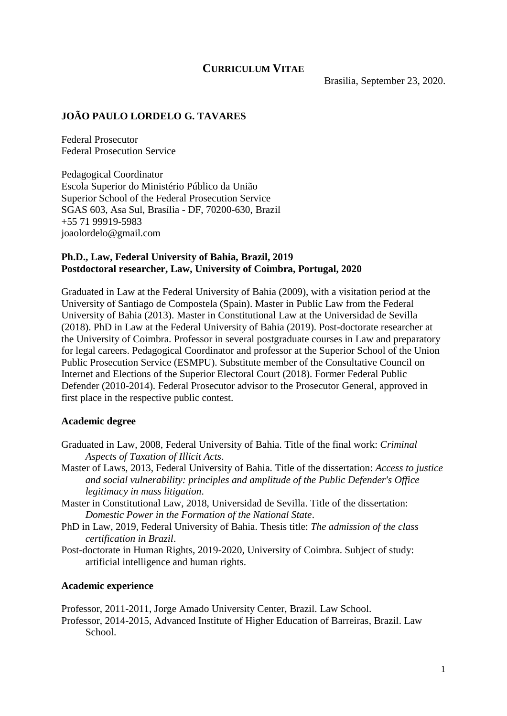# **CURRICULUM VITAE**

Brasilia, September 23, 2020.

# **JOÃO PAULO LORDELO G. TAVARES**

Federal Prosecutor Federal Prosecution Service

Pedagogical Coordinator Escola Superior do Ministério Público da União Superior School of the Federal Prosecution Service SGAS 603, Asa Sul, Brasília - DF, 70200-630, Brazil +55 71 99919-5983 joaolordelo@gmail.com

### **Ph.D., Law, Federal University of Bahia, Brazil, 2019 Postdoctoral researcher, Law, University of Coimbra, Portugal, 2020**

Graduated in Law at the Federal University of Bahia (2009), with a visitation period at the University of Santiago de Compostela (Spain). Master in Public Law from the Federal University of Bahia (2013). Master in Constitutional Law at the Universidad de Sevilla (2018). PhD in Law at the Federal University of Bahia (2019). Post-doctorate researcher at the University of Coimbra. Professor in several postgraduate courses in Law and preparatory for legal careers. Pedagogical Coordinator and professor at the Superior School of the Union Public Prosecution Service (ESMPU). Substitute member of the Consultative Council on Internet and Elections of the Superior Electoral Court (2018). Former Federal Public Defender (2010-2014). Federal Prosecutor advisor to the Prosecutor General, approved in first place in the respective public contest.

### **Academic degree**

- Graduated in Law, 2008, Federal University of Bahia. Title of the final work: *Criminal Aspects of Taxation of Illicit Acts*.
- Master of Laws, 2013, Federal University of Bahia. Title of the dissertation: *Access to justice and social vulnerability: principles and amplitude of the Public Defender's Office legitimacy in mass litigation*.
- Master in Constitutional Law, 2018, Universidad de Sevilla. Title of the dissertation: *Domestic Power in the Formation of the National State*.
- PhD in Law, 2019, Federal University of Bahia. Thesis title: *The admission of the class certification in Brazil*.
- Post-doctorate in Human Rights, 2019-2020, University of Coimbra. Subject of study: artificial intelligence and human rights.

#### **Academic experience**

Professor, 2011-2011, Jorge Amado University Center, Brazil. Law School.

Professor, 2014-2015, Advanced Institute of Higher Education of Barreiras, Brazil. Law School.